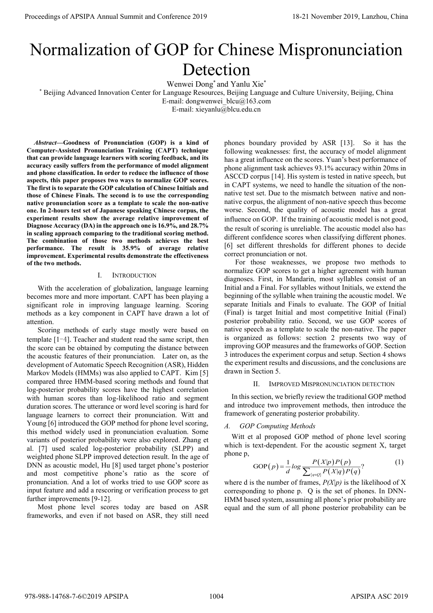# Normalization of GOP for Chinese Mispronunciation Detection

Wenwei Dong\* and Yanlu Xie\*

\* Beijing Advanced Innovation Center for Language Resources, Beijing Language and Culture University, Beijing, China

E-mail: dongwenwei\_blcu@163.com

E-mail: xieyanlu@blcu.edu.cn

*Abstract***—Goodness of Pronunciation (GOP) is a kind of Computer-Assisted Pronunciation Training (CAPT) technique that can provide language learners with scoring feedback, and its accuracy easily suffers from the performance of model alignment and phone classification. In order to reduce the influence of those aspects, this paper proposes two ways to normalize GOP scores. The first is to separate the GOP calculation of Chinese Initials and those of Chinese Finals. The second is to use the corresponding native pronunciation score as a template to scale the non-native one. In 2-hours test set of Japanese speaking Chinese corpus, the experiment results show the average relative improvement of Diagnose Accuracy (DA) in the approach one is 16.9%, and 28.7% in scaling approach comparing to the traditional scoring method. The combination of those two methods achieves the best performance. The result is 35.9% of average relative improvement. Experimental results demonstrate the effectiveness of the two methods.** 

# I. INTRODUCTION

With the acceleration of globalization, language learning becomes more and more important. CAPT has been playing a significant role in improving language learning. Scoring methods as a key component in CAPT have drawn a lot of attention.

Scoring methods of early stage mostly were based on template [1-4]. Teacher and student read the same script, then the score can be obtained by computing the distance between the acoustic features of their pronunciation. Later on, as the development of Automatic Speech Recognition (ASR), Hidden Markov Models (HMMs) was also applied to CAPT. Kim [5] compared three HMM-based scoring methods and found that log-posterior probability scores have the highest correlation with human scores than log-likelihood ratio and segment duration scores. The utterance or word level scoring is hard for language learners to correct their pronunciation. Witt and Young [6] introduced the GOP method for phone level scoring, this method widely used in pronunciation evaluation. Some variants of posterior probability were also explored. Zhang et al. [7] used scaled log-posterior probability (SLPP) and weighted phone SLPP improved detection result. In the age of DNN as acoustic model, Hu [8] used target phone's posterior and most competitive phone's ratio as the score of pronunciation. And a lot of works tried to use GOP score as input feature and add a rescoring or verification process to get further improvements [9-12]. Proceedings of APSIPA Annual Summit and Conference 2019<br>
Normal Conference 2019 18: The conference 2019 18: The conference 2019 18: The conference 2019 18: The conference 2019 18: The conference 2019 18: The conference 20

Most phone level scores today are based on ASR frameworks, and even if not based on ASR, they still need phones boundary provided by ASR [13]. So it has the following weaknesses: first, the accuracy of model alignment has a great influence on the scores. Yuan's best performance of phone alignment task achieves 93.1% accuracy within 20ms in ASCCD corpus [14]. His system is tested in native speech, but in CAPT systems, we need to handle the situation of the nonnative test set. Due to the mismatch between native and nonnative corpus, the alignment of non-native speech thus become worse. Second, the quality of acoustic model has a great influence on GOP. If the training of acoustic model is not good, the result of scoring is unreliable. The acoustic model also has different confidence scores when classifying different phones. [6] set different thresholds for different phones to decide correct pronunciation or not.

For those weaknesses, we propose two methods to normalize GOP scores to get a higher agreement with human diagnoses. First, in Mandarin, most syllables consist of an Initial and a Final. For syllables without Initials, we extend the beginning of the syllable when training the acoustic model. We separate Initials and Finals to evaluate. The GOP of Initial (Final) is target Initial and most competitive Initial (Final) posterior probability ratio. Second, we use GOP scores of native speech as a template to scale the non-native. The paper is organized as follows: section 2 presents two way of improving GOP measures and the frameworks of GOP. Section 3 introduces the experiment corpus and setup. Section 4 shows the experiment results and discussions, and the conclusions are drawn in Section 5.

#### II. IMPROVED MISPRONUNCIATION DETECTION

In this section, we briefly review the traditional GOP method and introduce two improvement methods, then introduce the framework of generating posterior probability.

# *A. GOP Computing Methods*

Witt et al proposed GOP method of phone level scoring which is text-dependent. For the acoustic segment X, target phone p,

GOP
$$
(p)
$$
 =  $\frac{1}{d}log \frac{P(X|p)P(p)}{\sum_{\{q \in Q\}} P(X|q)P(q)}$ ? (1)

where d is the number of frames,  $P(X|p)$  is the likelihood of X corresponding to phone p. Q is the set of phones. In DNN-HMM based system, assuming all phone's prior probability are equal and the sum of all phone posterior probability can be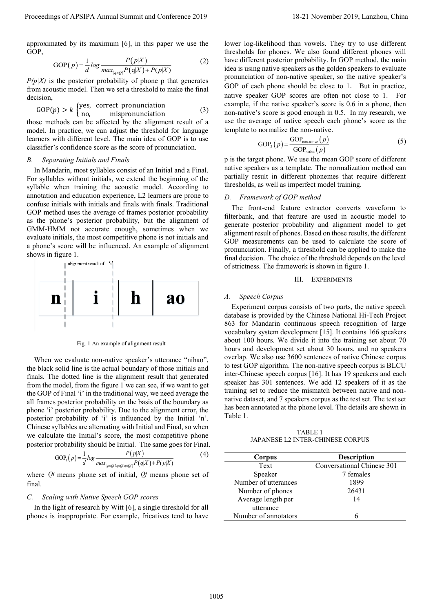approximated by its maximum [6], in this paper we use the GOP,

$$
GOP(p) = \frac{1}{d} \log \frac{P(p|X)}{\max_{\{q \in Q\}} P(q|X) + P(p|X)} \tag{2}
$$

 $P(p|X)$  is the posterior probability of phone p that generates from acoustic model. Then we set a threshold to make the final decision,

$$
GOP(p) > k \begin{cases} \text{yes, correct pronunciation} \\ \text{no, mispronunciation} \end{cases}
$$
 (3)

those methods can be affected by the alignment result of a model. In practice, we can adjust the threshold for language learners with different level. The main idea of GOP is to use classifier's confidence score as the score of pronunciation.

#### *B. Separating Initials and Finals*

In Mandarin, most syllables consist of an Initial and a Final. For syllables without initials, we extend the beginning of the syllable when training the acoustic model. According to annotation and education experience, L2 learners are prone to confuse initials with initials and finals with finals. Traditional GOP method uses the average of frames posterior probability as the phone's posterior probability, but the alignment of GMM-HMM not accurate enough, sometimes when we evaluate initials, the most competitive phone is not initials and a phone's score will be influenced. An example of alignment shows in figure 1.



Fig. 1 An example of alignment result

When we evaluate non-native speaker's utterance "nihao", the black solid line is the actual boundary of those initials and finals. The dotted line is the alignment result that generated from the model, from the figure 1 we can see, if we want to get the GOP of Final 'i' in the traditional way, we need average the all frames posterior probability on the basis of the boundary as phone 'i' posterior probability. Due to the alignment error, the posterior probability of 'i' is influenced by the Initial 'n'. Chinese syllables are alternating with Initial and Final, so when we calculate the Initial's score, the most competitive phone posterior probability should be Initial. The same goes for Final.

$$
GOP_1(p) = \frac{1}{d} \log \frac{P(p|X)}{\max_{\{p \in Q : \gamma q \in Q \cap P\}} P(q|X) + P(p|X)}
$$
(4)

where *Qi* means phone set of initial, *Qf* means phone set of final.

# *C. Scaling with Native Speech GOP scores*

In the light of research by Witt [6], a single threshold for all phones is inappropriate. For example, fricatives tend to have lower log-likelihood than vowels. They try to use different thresholds for phones. We also found different phones will have different posterior probability. In GOP method, the main idea is using native speakers as the golden speakers to evaluate pronunciation of non-native speaker, so the native speaker's GOP of each phone should be close to 1. But in practice, native speaker GOP scores are often not close to 1. For example, if the native speaker's score is 0.6 in a phone, then non-native's score is good enough in 0.5. In my research, we use the average of native speech each phone's score as the template to normalize the non-native.

$$
GOP2(p) = \frac{GOP_{non-native}(p)}{GOP_{naive}(p)}
$$
 (5)

p is the target phone. We use the mean GOP score of different native speakers as a template. The normalization method can partially result in different phonemes that require different thresholds, as well as imperfect model training.

## *D. Framework of GOP method*

The front-end feature extractor converts waveform to filterbank, and that feature are used in acoustic model to generate posterior probability and alignment model to get alignment result of phones. Based on those results, the different GOP measurements can be used to calculate the score of pronunciation. Finally, a threshold can be applied to make the final decision. The choice of the threshold depends on the level of strictness. The framework is shown in figure 1.

#### III. EXPERIMENTS

#### *A. Speech Corpus*

Experiment corpus consists of two parts, the native speech database is provided by the Chinese National Hi-Tech Project 863 for Mandarin continuous speech recognition of large vocabulary system development [15]. It contains 166 speakers about 100 hours. We divide it into the training set about 70 hours and development set about 30 hours, and no speakers overlap. We also use 3600 sentences of native Chinese corpus to test GOP algorithm. The non-native speech corpus is BLCU inter-Chinese speech corpus [16]. It has 19 speakers and each speaker has 301 sentences. We add 12 speakers of it as the training set to reduce the mismatch between native and nonnative dataset, and 7 speakers corpus as the test set. The test set has been annotated at the phone level. The details are shown in Table 1. Proceedings of APSIPA Annual Summit at Conference 2019<br>
Suppose the proceeding of the space was the space term in the space of the space of the space of the space of the space of the space of the space of the space of the

TABLE 1 JAPANESE L2 INTER-CHINESE CORPUS

| Corpus               | <b>Description</b>         |
|----------------------|----------------------------|
| Text                 | Conversational Chinese 301 |
| Speaker              | 7 females                  |
| Number of utterances | 1899                       |
| Number of phones     | 26431                      |
| Average length per   | 14                         |
| utterance            |                            |
| Number of annotators |                            |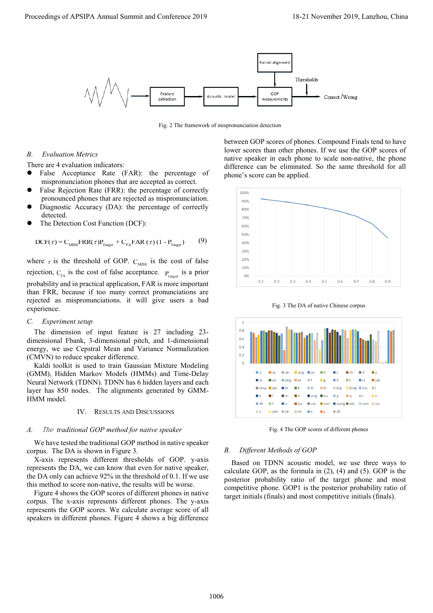

Fig. 2 The framework of mispronunciation detection

# *B. Evaluation Metrics*

There are 4 evaluation indicators:

- False Acceptance Rate (FAR): the percentage of mispronunciation phones that are accepted as correct.
- False Rejection Rate (FRR): the percentage of correctly pronounced phones that are rejected as mispronunciation.
- Diagnostic Accuracy (DA): the percentage of correctly detected.
- The Detection Cost Function (DCF):

The Detection Cost Function (DCF):  
DCF(
$$
\tau
$$
) = C<sub>miss</sub>FRR( $\tau$ )P<sub>Target</sub> + C<sub>FA</sub>FAR( $\tau$ ) (1 - P<sub>Target</sub>) (9)

where  $\tau$  is the threshold of GOP.  $C_{MISS}$  is the cost of false rejection,  $C_{FA}$  is the cost of false acceptance.  $P_{target}$  is a prior probability and in practical application, FAR is more important than FRR, because if too many correct pronunciations are rejected as mispronunciations. it will give users a bad experience.

# *C. Experiment setup*

The dimension of input feature is 27 including 23 dimensional Fbank, 3-dimensional pitch, and 1-dimensional energy, we use Cepstral Mean and Variance Normalization (CMVN) to reduce speaker difference.

Kaldi toolkit is used to train Gaussian Mixture Modeling (GMM), Hidden Markov Models (HMMs) and Time-Delay Neural Network (TDNN). TDNN has 6 hidden layers and each layer has 850 nodes. The alignments generated by GMM-HMM model.

## IV. RESULTS AND DISCUSSIONS

## *A.* The *traditional GOP method for native speaker*

We have tested the traditional GOP method in native speaker corpus. The DA is shown in Figure 3.

X-axis represents different thresholds of GOP. y-axis represents the DA, we can know that even for native speaker, the DA only can achieve 92% in the threshold of 0.1. If we use this method to score non-native, the results will be worse.

Figure 4 shows the GOP scores of different phones in native corpus. The x-axis represents different phones. The y-axis represents the GOP scores. We calculate average score of all speakers in different phones. Figure 4 shows a big difference

between GOP scores of phones. Compound Finals tend to have lower scores than other phones. If we use the GOP scores of native speaker in each phone to scale non-native, the phone difference can be eliminated. So the same threshold for all phone's score can be applied.



Fig. 3 The DA of native Chinese corpus



Fig. 4 The GOP scores of different phones

#### *B. Different Methods of GOP*

Based on TDNN acoustic model, we use three ways to calculate GOP, as the formula in (2), (4) and (5). GOP is the posterior probability ratio of the target phone and most competitive phone. GOP1 is the posterior probability ratio of target initials (finals) and most competitive initials (finals).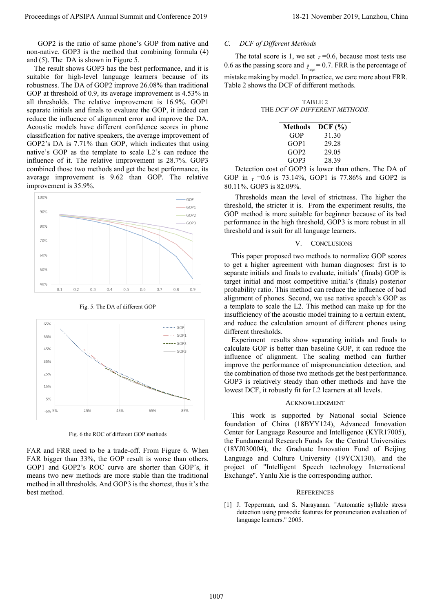The result shows GOP3 has the best performance, and it is suitable for high-level language learners because of its robustness. The DA of GOP2 improve 26.08% than traditional GOP at threshold of 0.9, its average improvement is 4.53% in all thresholds. The relative improvement is 16.9%. GOP1 separate initials and finals to evaluate the GOP, it indeed can reduce the influence of alignment error and improve the DA. Acoustic models have different confidence scores in phone classification for native speakers, the average improvement of GOP2's DA is 7.71% than GOP, which indicates that using native's GOP as the template to scale L2's can reduce the influence of it. The relative improvement is 28.7%. GOP3 combined those two methods and get the best performance, its average improvement is 9.62 than GOP. The relative improvement is 35.9%. Proceedings of APSIPA Annual Summit and Conference 2019<br>
Conference 2019 18-21 November 2019 18-21 November 2019 18-21 November 2019 18-21 November 2019 18-21 November 2019<br>
The post stress in the set of a few stress in t



Fig. 5. The DA of different GOP



Fig. 6 the ROC of different GOP methods

FAR and FRR need to be a trade-off. From Figure 6. When FAR bigger than 33%, the GOP result is worse than others. GOP1 and GOP2's ROC curve are shorter than GOP's, it means two new methods are more stable than the traditional method in all thresholds. And GOP3 is the shortest, thus it's the best method.

# *C. DCF of Different Methods*

The total score is 1, we set  $\tau$  =0.6, because most tests use 0.6 as the passing score and  $p_{\text{target}} = 0.7$ . FRR is the percentage of mistake making by model. In practice, we care more about FRR. Table 2 shows the DCF of different methods.

TABLE 2 THE *DCF OF DIFFERENT METHODS.*

| Methods          | DCF (%) |
|------------------|---------|
| GOP              | 31.30   |
| GOP <sub>1</sub> | 29.28   |
| GOP <sub>2</sub> | 29.05   |
| GOP3             | 28.39   |
|                  |         |

Detection cost of GOP3 is lower than others. The DA of GOP in  $\tau$  =0.6 is 73.14%, GOP1 is 77.86% and GOP2 is 80.11%. GOP3 is 82.09%.

Thresholds mean the level of strictness. The higher the threshold, the stricter it is. From the experiment results, the GOP method is more suitable for beginner because of its bad performance in the high threshold, GOP3 is more robust in all threshold and is suit for all language learners.

# V. CONCLUSIONS

This paper proposed two methods to normalize GOP scores to get a higher agreement with human diagnoses: first is to separate initials and finals to evaluate, initials' (finals) GOP is target initial and most competitive initial's (finals) posterior probability ratio. This method can reduce the influence of bad alignment of phones. Second, we use native speech's GOP as a template to scale the L2. This method can make up for the insufficiency of the acoustic model training to a certain extent, and reduce the calculation amount of different phones using different thresholds.

Experiment results show separating initials and finals to calculate GOP is better than baseline GOP, it can reduce the influence of alignment. The scaling method can further improve the performance of mispronunciation detection, and the combination of those two methods get the best performance. GOP3 is relatively steady than other methods and have the lowest DCF, it robustly fit for L2 learners at all levels.

#### ACKNOWLEDGMENT

This work is supported by National social Science foundation of China (18BYY124), Advanced Innovation Center for Language Resource and Intelligence (KYR17005), the Fundamental Research Funds for the Central Universities (18YJ030004), the Graduate Innovation Fund of Beijing Language and Culture University (19YCX130), and the project of "Intelligent Speech technology International Exchange". Yanlu Xie is the corresponding author.

#### **REFERENCES**

[1] J. Tepperman, and S. Narayanan. "Automatic syllable stress detection using prosodic features for pronunciation evaluation of language learners." 2005.